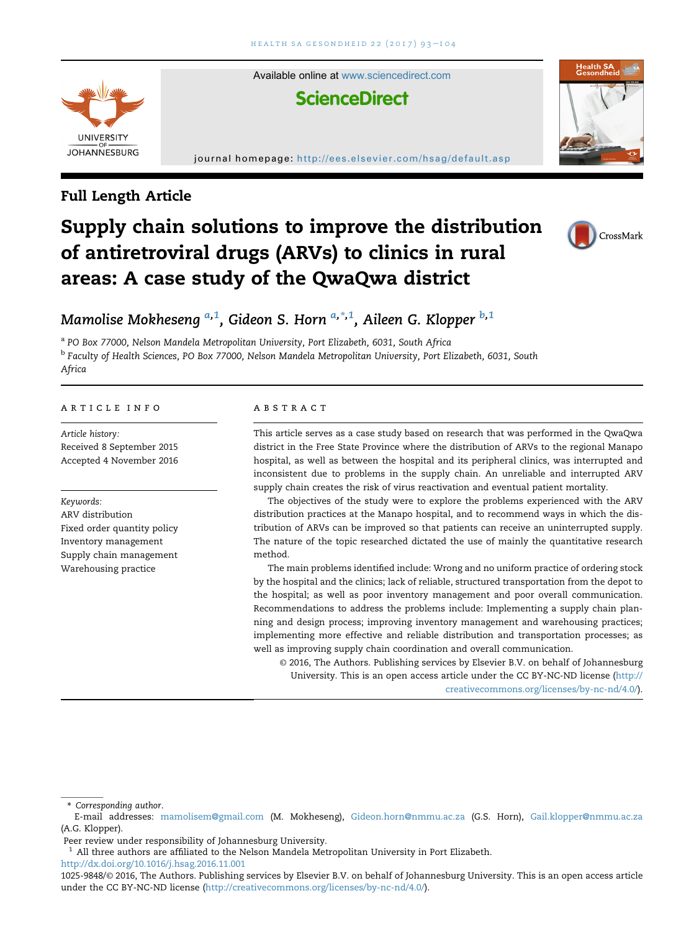

Available online at [www.sciencedirect.com](www.sciencedirect.com/science/journal/10259848) **ScienceDirect** 

#### journal homepage: http://ees.elsevier.com/hsag/default.asp





# Supply chain solutions to improve the distribution of antiretroviral drugs (ARVs) to clinics in rural areas: A case study of the QwaQwa district



# Mamolise Mokheseng <sup>a,1</sup>, Gideon S. Horn <sup>a,\*,1</sup>, Aileen G. Klopper <sup>b,1</sup>

a PO Box 77000, Nelson Mandela Metropolitan University, Port Elizabeth, 6031, South Africa <sup>b</sup> Faculty of Health Sciences, PO Box 77000, Nelson Mandela Metropolitan University, Port Elizabeth, 6031, South Africa

#### article info

Article history: Received 8 September 2015 Accepted 4 November 2016

Keywords:

ARV distribution Fixed order quantity policy Inventory management Supply chain management Warehousing practice

#### abstract

This article serves as a case study based on research that was performed in the QwaQwa district in the Free State Province where the distribution of ARVs to the regional Manapo hospital, as well as between the hospital and its peripheral clinics, was interrupted and inconsistent due to problems in the supply chain. An unreliable and interrupted ARV supply chain creates the risk of virus reactivation and eventual patient mortality.

The objectives of the study were to explore the problems experienced with the ARV distribution practices at the Manapo hospital, and to recommend ways in which the distribution of ARVs can be improved so that patients can receive an uninterrupted supply. The nature of the topic researched dictated the use of mainly the quantitative research method.

The main problems identified include: Wrong and no uniform practice of ordering stock by the hospital and the clinics; lack of reliable, structured transportation from the depot to the hospital; as well as poor inventory management and poor overall communication. Recommendations to address the problems include: Implementing a supply chain planning and design process; improving inventory management and warehousing practices; implementing more effective and reliable distribution and transportation processes; as well as improving supply chain coordination and overall communication.

© 2016, The Authors. Publishing services by Elsevier B.V. on behalf of Johannesburg University. This is an open access article under the CC BY-NC-ND license ([http://](http://creativecommons.org/licenses/by-nc-nd/4.0/) [creativecommons.org/licenses/by-nc-nd/4.0/\)](http://creativecommons.org/licenses/by-nc-nd/4.0/).

\* Corresponding author.

<http://dx.doi.org/10.1016/j.hsag.2016.11.001>

E-mail addresses: [mamolisem@gmail.com](mailto:mamolisem@gmail.com) (M. Mokheseng), [Gideon.horn@nmmu.ac.za](mailto:Gideon.horn@nmmu.ac.za) (G.S. Horn), [Gail.klopper@nmmu.ac.za](mailto:Gail.klopper@nmmu.ac.za) (A.G. Klopper).

Peer review under responsibility of Johannesburg University.

 $<sup>1</sup>$  All three authors are affiliated to the Nelson Mandela Metropolitan University in Port Elizabeth.</sup>

<sup>1025-9848/</sup>© 2016, The Authors. Publishing services by Elsevier B.V. on behalf of Johannesburg University. This is an open access article under the CC BY-NC-ND license [\(http://creativecommons.org/licenses/by-nc-nd/4.0/\)](http://creativecommons.org/licenses/by-nc-nd/4.0/).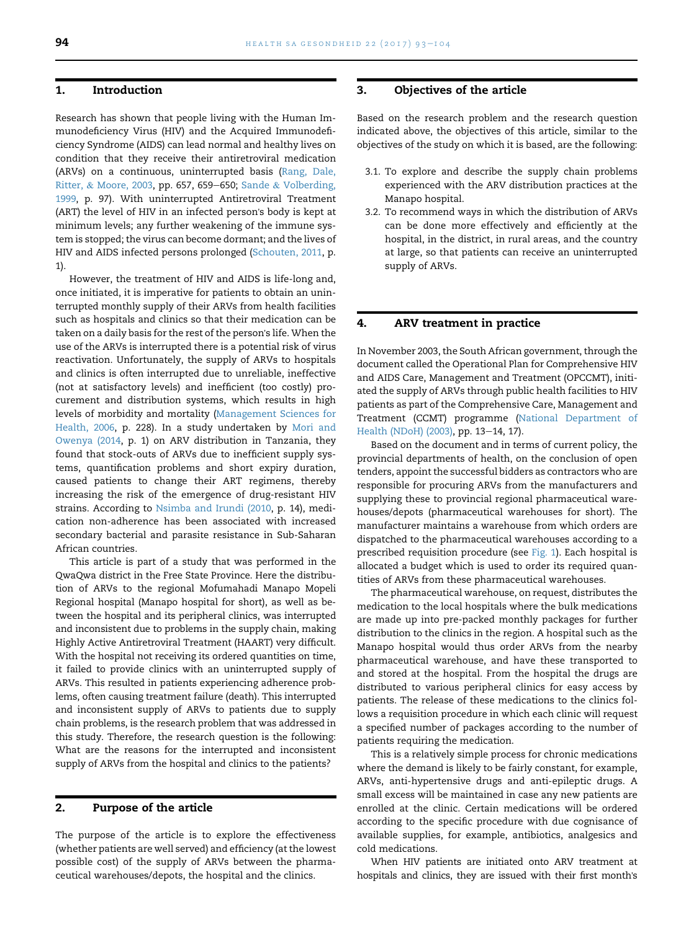#### 1. Introduction

Research has shown that people living with the Human Immunodeficiency Virus (HIV) and the Acquired Immunodeficiency Syndrome (AIDS) can lead normal and healthy lives on condition that they receive their antiretroviral medication (ARVs) on a continuous, uninterrupted basis [\(Rang, Dale,](#page-11-0) [Ritter,](#page-11-0) & [Moore, 2003](#page-11-0), pp. 657, 659-650; [Sande](#page-11-0) & [Volberding,](#page-11-0) [1999,](#page-11-0) p. 97). With uninterrupted Antiretroviral Treatment (ART) the level of HIV in an infected person's body is kept at minimum levels; any further weakening of the immune system is stopped; the virus can become dormant; and the lives of HIV and AIDS infected persons prolonged [\(Schouten, 2011](#page-11-0), p. 1).

However, the treatment of HIV and AIDS is life-long and, once initiated, it is imperative for patients to obtain an uninterrupted monthly supply of their ARVs from health facilities such as hospitals and clinics so that their medication can be taken on a daily basis for the rest of the person's life. When the use of the ARVs is interrupted there is a potential risk of virus reactivation. Unfortunately, the supply of ARVs to hospitals and clinics is often interrupted due to unreliable, ineffective (not at satisfactory levels) and inefficient (too costly) procurement and distribution systems, which results in high levels of morbidity and mortality [\(Management Sciences for](#page-11-0) [Health, 2006,](#page-11-0) p. 228). In a study undertaken by [Mori and](#page-11-0) [Owenya \(2014,](#page-11-0) p. 1) on ARV distribution in Tanzania, they found that stock-outs of ARVs due to inefficient supply systems, quantification problems and short expiry duration, caused patients to change their ART regimens, thereby increasing the risk of the emergence of drug-resistant HIV strains. According to [Nsimba and Irundi \(2010](#page-11-0), p. 14), medication non-adherence has been associated with increased secondary bacterial and parasite resistance in Sub-Saharan African countries.

This article is part of a study that was performed in the QwaQwa district in the Free State Province. Here the distribution of ARVs to the regional Mofumahadi Manapo Mopeli Regional hospital (Manapo hospital for short), as well as between the hospital and its peripheral clinics, was interrupted and inconsistent due to problems in the supply chain, making Highly Active Antiretroviral Treatment (HAART) very difficult. With the hospital not receiving its ordered quantities on time, it failed to provide clinics with an uninterrupted supply of ARVs. This resulted in patients experiencing adherence problems, often causing treatment failure (death). This interrupted and inconsistent supply of ARVs to patients due to supply chain problems, is the research problem that was addressed in this study. Therefore, the research question is the following: What are the reasons for the interrupted and inconsistent supply of ARVs from the hospital and clinics to the patients?

# 2. Purpose of the article

The purpose of the article is to explore the effectiveness (whether patients are well served) and efficiency (at the lowest possible cost) of the supply of ARVs between the pharmaceutical warehouses/depots, the hospital and the clinics.

#### 3. Objectives of the article

Based on the research problem and the research question indicated above, the objectives of this article, similar to the objectives of the study on which it is based, are the following:

- 3.1. To explore and describe the supply chain problems experienced with the ARV distribution practices at the Manapo hospital.
- 3.2. To recommend ways in which the distribution of ARVs can be done more effectively and efficiently at the hospital, in the district, in rural areas, and the country at large, so that patients can receive an uninterrupted supply of ARVs.

#### 4. ARV treatment in practice

In November 2003, the South African government, through the document called the Operational Plan for Comprehensive HIV and AIDS Care, Management and Treatment (OPCCMT), initiated the supply of ARVs through public health facilities to HIV patients as part of the Comprehensive Care, Management and Treatment (CCMT) programme [\(National Department of](#page-11-0) [Health \(NDoH\) \(2003\),](#page-11-0) pp. 13-14, 17).

Based on the document and in terms of current policy, the provincial departments of health, on the conclusion of open tenders, appoint the successful bidders as contractors who are responsible for procuring ARVs from the manufacturers and supplying these to provincial regional pharmaceutical warehouses/depots (pharmaceutical warehouses for short). The manufacturer maintains a warehouse from which orders are dispatched to the pharmaceutical warehouses according to a prescribed requisition procedure (see [Fig. 1\)](#page-2-0). Each hospital is allocated a budget which is used to order its required quantities of ARVs from these pharmaceutical warehouses.

The pharmaceutical warehouse, on request, distributes the medication to the local hospitals where the bulk medications are made up into pre-packed monthly packages for further distribution to the clinics in the region. A hospital such as the Manapo hospital would thus order ARVs from the nearby pharmaceutical warehouse, and have these transported to and stored at the hospital. From the hospital the drugs are distributed to various peripheral clinics for easy access by patients. The release of these medications to the clinics follows a requisition procedure in which each clinic will request a specified number of packages according to the number of patients requiring the medication.

This is a relatively simple process for chronic medications where the demand is likely to be fairly constant, for example, ARVs, anti-hypertensive drugs and anti-epileptic drugs. A small excess will be maintained in case any new patients are enrolled at the clinic. Certain medications will be ordered according to the specific procedure with due cognisance of available supplies, for example, antibiotics, analgesics and cold medications.

When HIV patients are initiated onto ARV treatment at hospitals and clinics, they are issued with their first month's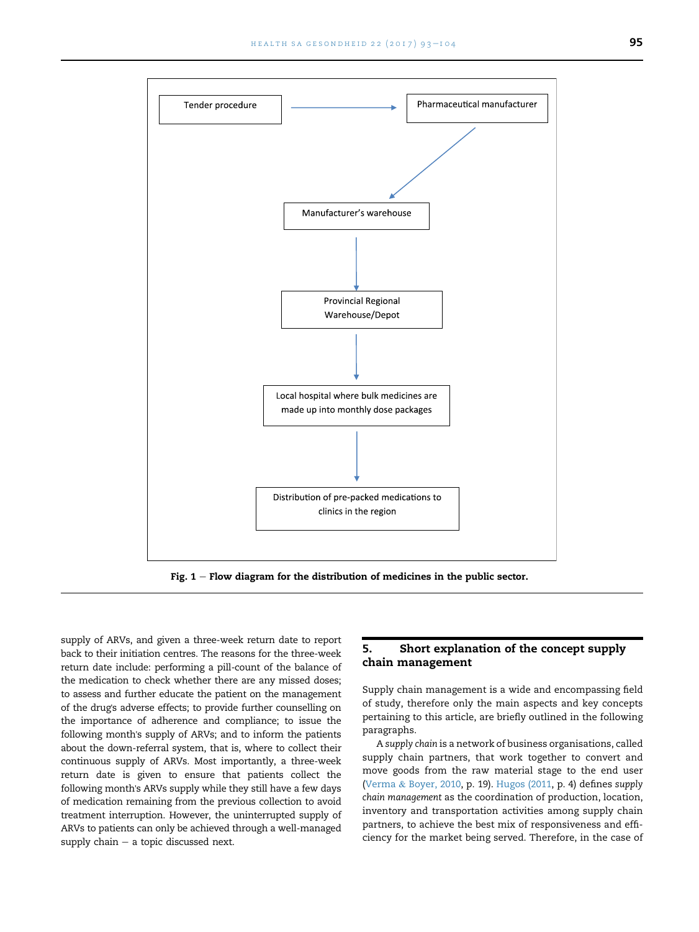<span id="page-2-0"></span>

Fig.  $1$  – Flow diagram for the distribution of medicines in the public sector.

supply of ARVs, and given a three-week return date to report back to their initiation centres. The reasons for the three-week return date include: performing a pill-count of the balance of the medication to check whether there are any missed doses; to assess and further educate the patient on the management of the drug's adverse effects; to provide further counselling on the importance of adherence and compliance; to issue the following month's supply of ARVs; and to inform the patients about the down-referral system, that is, where to collect their continuous supply of ARVs. Most importantly, a three-week return date is given to ensure that patients collect the following month's ARVs supply while they still have a few days of medication remaining from the previous collection to avoid treatment interruption. However, the uninterrupted supply of ARVs to patients can only be achieved through a well-managed supply chain  $-$  a topic discussed next.

# 5. Short explanation of the concept supply chain management

Supply chain management is a wide and encompassing field of study, therefore only the main aspects and key concepts pertaining to this article, are briefly outlined in the following paragraphs.

A supply chain is a network of business organisations, called supply chain partners, that work together to convert and move goods from the raw material stage to the end user [\(Verma](#page-11-0) & [Boyer, 2010,](#page-11-0) p. 19). [Hugos \(2011](#page-11-0), p. 4) defines supply chain management as the coordination of production, location, inventory and transportation activities among supply chain partners, to achieve the best mix of responsiveness and efficiency for the market being served. Therefore, in the case of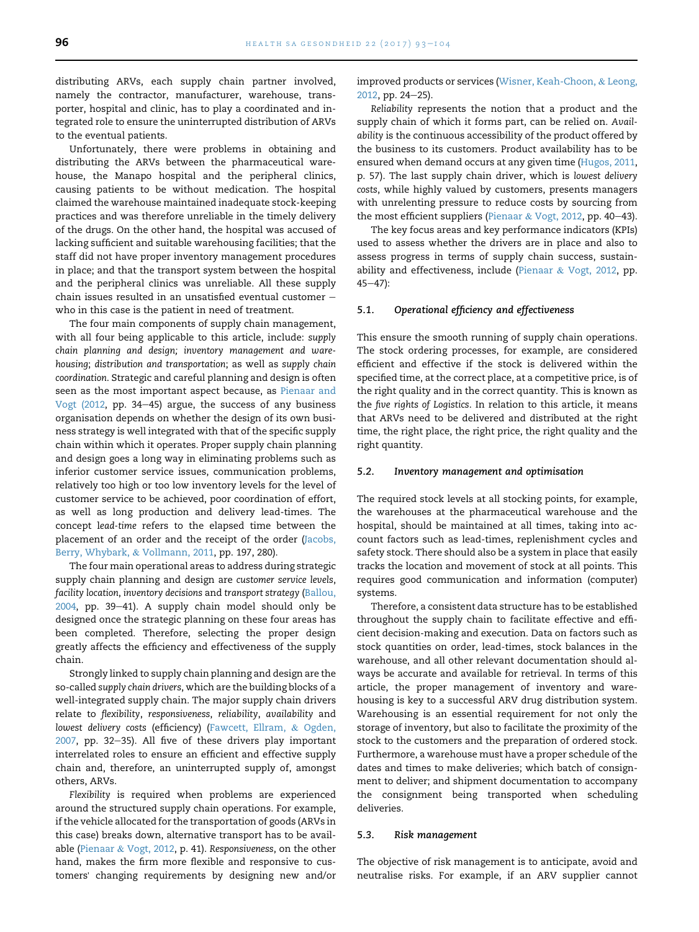distributing ARVs, each supply chain partner involved, namely the contractor, manufacturer, warehouse, transporter, hospital and clinic, has to play a coordinated and integrated role to ensure the uninterrupted distribution of ARVs to the eventual patients.

Unfortunately, there were problems in obtaining and distributing the ARVs between the pharmaceutical warehouse, the Manapo hospital and the peripheral clinics, causing patients to be without medication. The hospital claimed the warehouse maintained inadequate stock-keeping practices and was therefore unreliable in the timely delivery of the drugs. On the other hand, the hospital was accused of lacking sufficient and suitable warehousing facilities; that the staff did not have proper inventory management procedures in place; and that the transport system between the hospital and the peripheral clinics was unreliable. All these supply chain issues resulted in an unsatisfied eventual customer  $$ who in this case is the patient in need of treatment.

The four main components of supply chain management, with all four being applicable to this article, include: supply chain planning and design; inventory management and warehousing; distribution and transportation; as well as supply chain coordination. Strategic and careful planning and design is often seen as the most important aspect because, as [Pienaar and](#page-11-0) Vogt  $(2012, pp. 34-45)$  argue, the success of any business organisation depends on whether the design of its own business strategy is well integrated with that of the specific supply chain within which it operates. Proper supply chain planning and design goes a long way in eliminating problems such as inferior customer service issues, communication problems, relatively too high or too low inventory levels for the level of customer service to be achieved, poor coordination of effort, as well as long production and delivery lead-times. The concept lead-time refers to the elapsed time between the placement of an order and the receipt of the order ([Jacobs,](#page-11-0) [Berry, Whybark,](#page-11-0) & [Vollmann, 2011](#page-11-0), pp. 197, 280).

The four main operational areas to address during strategic supply chain planning and design are customer service levels, facility location, inventory decisions and transport strategy ([Ballou,](#page-11-0) [2004,](#page-11-0) pp. 39-41). A supply chain model should only be designed once the strategic planning on these four areas has been completed. Therefore, selecting the proper design greatly affects the efficiency and effectiveness of the supply chain.

Strongly linked to supply chain planning and design are the so-called supply chain drivers, which are the building blocks of a well-integrated supply chain. The major supply chain drivers relate to flexibility, responsiveness, reliability, availability and lowest delivery costs (efficiency) ([Fawcett, Ellram,](#page-11-0) & [Ogden,](#page-11-0)  $2007$ , pp. 32-35). All five of these drivers play important interrelated roles to ensure an efficient and effective supply chain and, therefore, an uninterrupted supply of, amongst others, ARVs.

Flexibility is required when problems are experienced around the structured supply chain operations. For example, if the vehicle allocated for the transportation of goods (ARVs in this case) breaks down, alternative transport has to be available [\(Pienaar](#page-11-0) & [Vogt, 2012,](#page-11-0) p. 41). Responsiveness, on the other hand, makes the firm more flexible and responsive to customers' changing requirements by designing new and/or

improved products or services [\(Wisner, Keah-Choon,](#page-11-0) & [Leong,](#page-11-0) [2012,](#page-11-0) pp. 24-25).

Reliability represents the notion that a product and the supply chain of which it forms part, can be relied on. Availability is the continuous accessibility of the product offered by the business to its customers. Product availability has to be ensured when demand occurs at any given time ([Hugos, 2011](#page-11-0), p. 57). The last supply chain driver, which is lowest delivery costs, while highly valued by customers, presents managers with unrelenting pressure to reduce costs by sourcing from the most efficient suppliers [\(Pienaar](#page-11-0) & [Vogt, 2012](#page-11-0), pp. 40-43).

The key focus areas and key performance indicators (KPIs) used to assess whether the drivers are in place and also to assess progress in terms of supply chain success, sustainability and effectiveness, include [\(Pienaar](#page-11-0) & [Vogt, 2012](#page-11-0), pp.  $45 - 47$ :

#### 5.1. Operational efficiency and effectiveness

This ensure the smooth running of supply chain operations. The stock ordering processes, for example, are considered efficient and effective if the stock is delivered within the specified time, at the correct place, at a competitive price, is of the right quality and in the correct quantity. This is known as the five rights of Logistics. In relation to this article, it means that ARVs need to be delivered and distributed at the right time, the right place, the right price, the right quality and the right quantity.

#### 5.2. Inventory management and optimisation

The required stock levels at all stocking points, for example, the warehouses at the pharmaceutical warehouse and the hospital, should be maintained at all times, taking into account factors such as lead-times, replenishment cycles and safety stock. There should also be a system in place that easily tracks the location and movement of stock at all points. This requires good communication and information (computer) systems.

Therefore, a consistent data structure has to be established throughout the supply chain to facilitate effective and efficient decision-making and execution. Data on factors such as stock quantities on order, lead-times, stock balances in the warehouse, and all other relevant documentation should always be accurate and available for retrieval. In terms of this article, the proper management of inventory and warehousing is key to a successful ARV drug distribution system. Warehousing is an essential requirement for not only the storage of inventory, but also to facilitate the proximity of the stock to the customers and the preparation of ordered stock. Furthermore, a warehouse must have a proper schedule of the dates and times to make deliveries; which batch of consignment to deliver; and shipment documentation to accompany the consignment being transported when scheduling deliveries.

#### 5.3. Risk management

The objective of risk management is to anticipate, avoid and neutralise risks. For example, if an ARV supplier cannot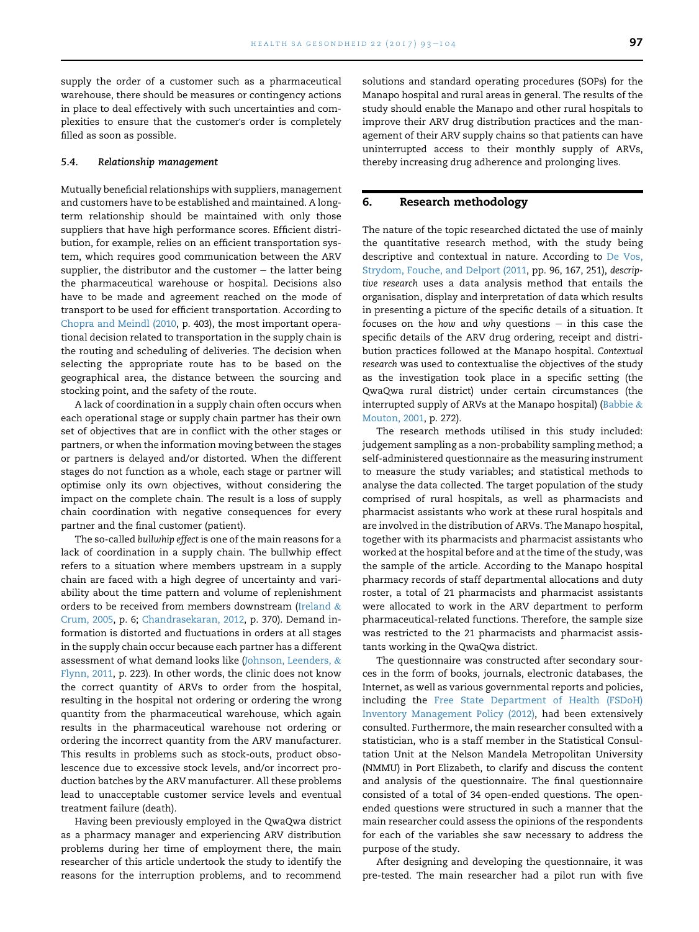supply the order of a customer such as a pharmaceutical warehouse, there should be measures or contingency actions in place to deal effectively with such uncertainties and complexities to ensure that the customer's order is completely filled as soon as possible.

#### 5.4. Relationship management

Mutually beneficial relationships with suppliers, management and customers have to be established and maintained. A longterm relationship should be maintained with only those suppliers that have high performance scores. Efficient distribution, for example, relies on an efficient transportation system, which requires good communication between the ARV supplier, the distributor and the customer  $-$  the latter being the pharmaceutical warehouse or hospital. Decisions also have to be made and agreement reached on the mode of transport to be used for efficient transportation. According to [Chopra and Meindl \(2010](#page-11-0), p. 403), the most important operational decision related to transportation in the supply chain is the routing and scheduling of deliveries. The decision when selecting the appropriate route has to be based on the geographical area, the distance between the sourcing and stocking point, and the safety of the route.

A lack of coordination in a supply chain often occurs when each operational stage or supply chain partner has their own set of objectives that are in conflict with the other stages or partners, or when the information moving between the stages or partners is delayed and/or distorted. When the different stages do not function as a whole, each stage or partner will optimise only its own objectives, without considering the impact on the complete chain. The result is a loss of supply chain coordination with negative consequences for every partner and the final customer (patient).

The so-called bullwhip effect is one of the main reasons for a lack of coordination in a supply chain. The bullwhip effect refers to a situation where members upstream in a supply chain are faced with a high degree of uncertainty and variability about the time pattern and volume of replenishment orders to be received from members downstream [\(Ireland](#page-11-0)  $\&$ [Crum, 2005](#page-11-0), p. 6; [Chandrasekaran, 2012](#page-11-0), p. 370). Demand information is distorted and fluctuations in orders at all stages in the supply chain occur because each partner has a different assessment of what demand looks like ([Johnson, Leenders,](#page-11-0) & [Flynn, 2011](#page-11-0), p. 223). In other words, the clinic does not know the correct quantity of ARVs to order from the hospital, resulting in the hospital not ordering or ordering the wrong quantity from the pharmaceutical warehouse, which again results in the pharmaceutical warehouse not ordering or ordering the incorrect quantity from the ARV manufacturer. This results in problems such as stock-outs, product obsolescence due to excessive stock levels, and/or incorrect production batches by the ARV manufacturer. All these problems lead to unacceptable customer service levels and eventual treatment failure (death).

Having been previously employed in the QwaQwa district as a pharmacy manager and experiencing ARV distribution problems during her time of employment there, the main researcher of this article undertook the study to identify the reasons for the interruption problems, and to recommend

solutions and standard operating procedures (SOPs) for the Manapo hospital and rural areas in general. The results of the study should enable the Manapo and other rural hospitals to improve their ARV drug distribution practices and the management of their ARV supply chains so that patients can have uninterrupted access to their monthly supply of ARVs, thereby increasing drug adherence and prolonging lives.

### 6. Research methodology

The nature of the topic researched dictated the use of mainly the quantitative research method, with the study being descriptive and contextual in nature. According to [De Vos,](#page-11-0) [Strydom, Fouche, and Delport \(2011,](#page-11-0) pp. 96, 167, 251), descriptive research uses a data analysis method that entails the organisation, display and interpretation of data which results in presenting a picture of the specific details of a situation. It focuses on the how and why questions  $-$  in this case the specific details of the ARV drug ordering, receipt and distribution practices followed at the Manapo hospital. Contextual research was used to contextualise the objectives of the study as the investigation took place in a specific setting (the QwaQwa rural district) under certain circumstances (the interrupted supply of ARVs at the Manapo hospital) ([Babbie](#page-11-0)  $&$ [Mouton, 2001](#page-11-0), p. 272).

The research methods utilised in this study included: judgement sampling as a non-probability sampling method; a self-administered questionnaire as the measuring instrument to measure the study variables; and statistical methods to analyse the data collected. The target population of the study comprised of rural hospitals, as well as pharmacists and pharmacist assistants who work at these rural hospitals and are involved in the distribution of ARVs. The Manapo hospital, together with its pharmacists and pharmacist assistants who worked at the hospital before and at the time of the study, was the sample of the article. According to the Manapo hospital pharmacy records of staff departmental allocations and duty roster, a total of 21 pharmacists and pharmacist assistants were allocated to work in the ARV department to perform pharmaceutical-related functions. Therefore, the sample size was restricted to the 21 pharmacists and pharmacist assistants working in the QwaQwa district.

The questionnaire was constructed after secondary sources in the form of books, journals, electronic databases, the Internet, as well as various governmental reports and policies, including the [Free State Department of Health \(FSDoH\)](#page-11-0) [Inventory Management Policy \(2012\),](#page-11-0) had been extensively consulted. Furthermore, the main researcher consulted with a statistician, who is a staff member in the Statistical Consultation Unit at the Nelson Mandela Metropolitan University (NMMU) in Port Elizabeth, to clarify and discuss the content and analysis of the questionnaire. The final questionnaire consisted of a total of 34 open-ended questions. The openended questions were structured in such a manner that the main researcher could assess the opinions of the respondents for each of the variables she saw necessary to address the purpose of the study.

After designing and developing the questionnaire, it was pre-tested. The main researcher had a pilot run with five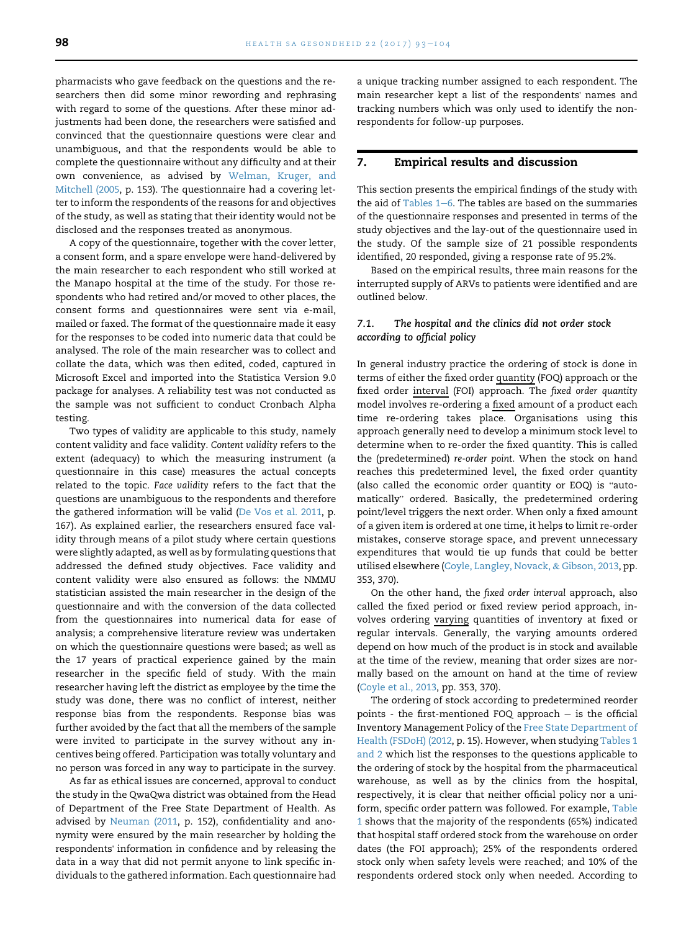pharmacists who gave feedback on the questions and the researchers then did some minor rewording and rephrasing with regard to some of the questions. After these minor adjustments had been done, the researchers were satisfied and convinced that the questionnaire questions were clear and unambiguous, and that the respondents would be able to complete the questionnaire without any difficulty and at their own convenience, as advised by [Welman, Kruger, and](#page-11-0) [Mitchell \(2005,](#page-11-0) p. 153). The questionnaire had a covering letter to inform the respondents of the reasons for and objectives of the study, as well as stating that their identity would not be disclosed and the responses treated as anonymous.

A copy of the questionnaire, together with the cover letter, a consent form, and a spare envelope were hand-delivered by the main researcher to each respondent who still worked at the Manapo hospital at the time of the study. For those respondents who had retired and/or moved to other places, the consent forms and questionnaires were sent via e-mail, mailed or faxed. The format of the questionnaire made it easy for the responses to be coded into numeric data that could be analysed. The role of the main researcher was to collect and collate the data, which was then edited, coded, captured in Microsoft Excel and imported into the Statistica Version 9.0 package for analyses. A reliability test was not conducted as the sample was not sufficient to conduct Cronbach Alpha testing.

Two types of validity are applicable to this study, namely content validity and face validity. Content validity refers to the extent (adequacy) to which the measuring instrument (a questionnaire in this case) measures the actual concepts related to the topic. Face validity refers to the fact that the questions are unambiguous to the respondents and therefore the gathered information will be valid ([De Vos et al. 2011](#page-11-0), p. 167). As explained earlier, the researchers ensured face validity through means of a pilot study where certain questions were slightly adapted, as well as by formulating questions that addressed the defined study objectives. Face validity and content validity were also ensured as follows: the NMMU statistician assisted the main researcher in the design of the questionnaire and with the conversion of the data collected from the questionnaires into numerical data for ease of analysis; a comprehensive literature review was undertaken on which the questionnaire questions were based; as well as the 17 years of practical experience gained by the main researcher in the specific field of study. With the main researcher having left the district as employee by the time the study was done, there was no conflict of interest, neither response bias from the respondents. Response bias was further avoided by the fact that all the members of the sample were invited to participate in the survey without any incentives being offered. Participation was totally voluntary and no person was forced in any way to participate in the survey.

As far as ethical issues are concerned, approval to conduct the study in the QwaQwa district was obtained from the Head of Department of the Free State Department of Health. As advised by [Neuman \(2011](#page-11-0), p. 152), confidentiality and anonymity were ensured by the main researcher by holding the respondents' information in confidence and by releasing the data in a way that did not permit anyone to link specific individuals to the gathered information. Each questionnaire had a unique tracking number assigned to each respondent. The main researcher kept a list of the respondents' names and tracking numbers which was only used to identify the nonrespondents for follow-up purposes.

#### 7. Empirical results and discussion

This section presents the empirical findings of the study with the aid of Tables  $1-6$ . The tables are based on the summaries of the questionnaire responses and presented in terms of the study objectives and the lay-out of the questionnaire used in the study. Of the sample size of 21 possible respondents identified, 20 responded, giving a response rate of 95.2%.

Based on the empirical results, three main reasons for the interrupted supply of ARVs to patients were identified and are outlined below.

# 7.1. The hospital and the clinics did not order stock according to official policy

In general industry practice the ordering of stock is done in terms of either the fixed order quantity (FOQ) approach or the fixed order interval (FOI) approach. The fixed order quantity model involves re-ordering a fixed amount of a product each time re-ordering takes place. Organisations using this approach generally need to develop a minimum stock level to determine when to re-order the fixed quantity. This is called the (predetermined) re-order point. When the stock on hand reaches this predetermined level, the fixed order quantity reaches this predetermined level, the fixed order quantity<br>(also called the economic order quantity or EOQ) is "auto-(also called the economic order quantity or EOQ) is "auto-<br>matically" ordered. Basically, the predetermined ordering point/level triggers the next order. When only a fixed amount of a given item is ordered at one time, it helps to limit re-order mistakes, conserve storage space, and prevent unnecessary expenditures that would tie up funds that could be better utilised elsewhere ([Coyle, Langley, Novack,](#page-11-0) & [Gibson, 2013](#page-11-0), pp. 353, 370).

On the other hand, the fixed order interval approach, also called the fixed period or fixed review period approach, involves ordering varying quantities of inventory at fixed or regular intervals. Generally, the varying amounts ordered depend on how much of the product is in stock and available at the time of the review, meaning that order sizes are normally based on the amount on hand at the time of review ([Coyle et al., 2013](#page-11-0), pp. 353, 370).

The ordering of stock according to predetermined reorder points - the first-mentioned FOQ approach  $-$  is the official Inventory Management Policy of the [Free State Department of](#page-11-0) [Health \(FSDoH\) \(2012](#page-11-0), p. 15). However, when studying [Tables 1](#page-6-0) [and 2](#page-6-0) which list the responses to the questions applicable to the ordering of stock by the hospital from the pharmaceutical warehouse, as well as by the clinics from the hospital, respectively, it is clear that neither official policy nor a uniform, specific order pattern was followed. For example, [Table](#page-6-0) [1](#page-6-0) shows that the majority of the respondents (65%) indicated that hospital staff ordered stock from the warehouse on order dates (the FOI approach); 25% of the respondents ordered stock only when safety levels were reached; and 10% of the respondents ordered stock only when needed. According to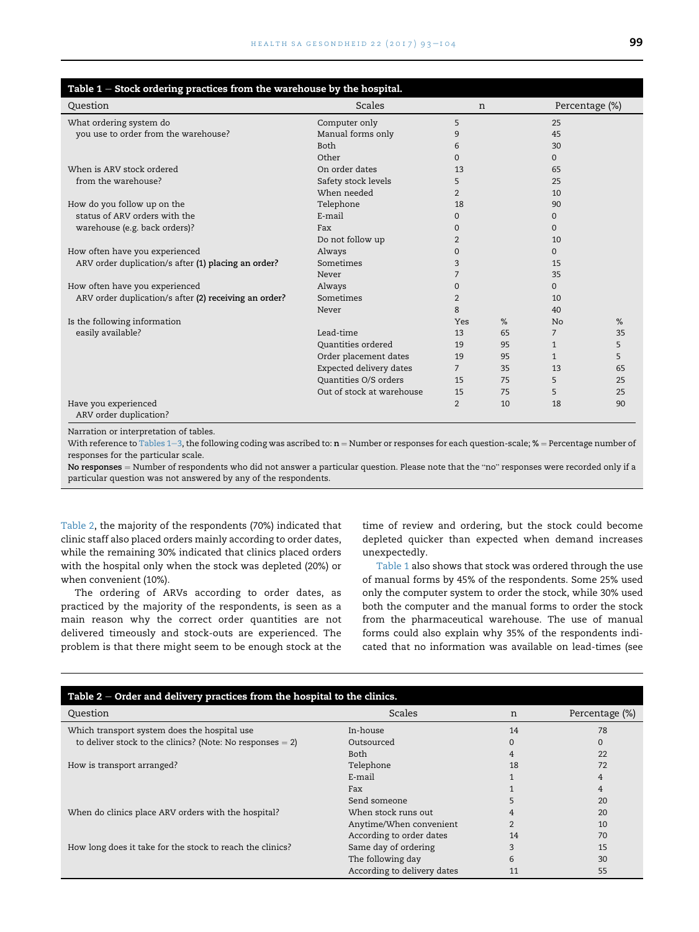<span id="page-6-0"></span>

| Table $1$ – Stock ordering practices from the warehouse by the hospital. |                              |                |    |                |                |
|--------------------------------------------------------------------------|------------------------------|----------------|----|----------------|----------------|
| Question                                                                 | Scales                       | n              |    |                | Percentage (%) |
| What ordering system do                                                  | Computer only                | 5              |    | 25             |                |
| you use to order from the warehouse?                                     | Manual forms only            | 9              |    | 45             |                |
|                                                                          | <b>Both</b>                  | 6              |    | 30             |                |
|                                                                          | Other                        | $\Omega$       |    | $\Omega$       |                |
| When is ARV stock ordered                                                | On order dates               | 13             |    | 65             |                |
| from the warehouse?                                                      | Safety stock levels          | 5              |    | 25             |                |
|                                                                          | When needed                  | $\overline{2}$ |    | 10             |                |
| How do you follow up on the                                              | Telephone                    | 18             |    | 90             |                |
| status of ARV orders with the                                            | E-mail                       | $\Omega$       |    | $\Omega$       |                |
| warehouse (e.g. back orders)?                                            | Fax                          | $\Omega$       |    | $\Omega$       |                |
|                                                                          | Do not follow up             | $\overline{2}$ |    | 10             |                |
| How often have you experienced                                           | Always                       | $\Omega$       |    | $\Omega$       |                |
| ARV order duplication/s after (1) placing an order?                      | Sometimes                    | 3              |    | 15             |                |
|                                                                          | Never                        | $\overline{7}$ |    | 35             |                |
| How often have you experienced                                           | Always                       | $\mathbf{0}$   |    | $\Omega$       |                |
| ARV order duplication/s after (2) receiving an order?                    | Sometimes                    | $\overline{2}$ |    | 10             |                |
|                                                                          | Never                        | 8              |    | 40             |                |
| Is the following information                                             |                              | Yes            | %  | <b>No</b>      | %              |
| easily available?                                                        | Lead-time                    | 13             | 65 | $\overline{7}$ | 35             |
|                                                                          | Ouantities ordered           | 19             | 95 | $\mathbf{1}$   | 5              |
|                                                                          | Order placement dates        | 19             | 95 | $\mathbf{1}$   | 5              |
|                                                                          | Expected delivery dates      | $7^{\circ}$    | 35 | 13             | 65             |
|                                                                          | <b>Ouantities O/S orders</b> | 15             | 75 | 5              | 25             |
|                                                                          | Out of stock at warehouse    | 15             | 75 | 5              | 25             |
| Have you experienced<br>ARV order duplication?                           |                              | $\overline{2}$ | 10 | 18             | 90             |
| Narration or interpretation of tables                                    |                              |                |    |                |                |

Narration or interpretation of tables.

With reference to Tables  $1-3$ , the following coding was ascribed to:  $n =$  Number or responses for each question-scale; % = Percentage number of responses for the particular scale.

No responses = Number of respondents who did not answer a particular question. Please note that the "no" responses were recorded only if a particular question was not answered by any of the respondents.

Table 2, the majority of the respondents (70%) indicated that clinic staff also placed orders mainly according to order dates, while the remaining 30% indicated that clinics placed orders with the hospital only when the stock was depleted (20%) or when convenient (10%).

The ordering of ARVs according to order dates, as practiced by the majority of the respondents, is seen as a main reason why the correct order quantities are not delivered timeously and stock-outs are experienced. The problem is that there might seem to be enough stock at the

time of review and ordering, but the stock could become depleted quicker than expected when demand increases unexpectedly.

Table 1 also shows that stock was ordered through the use of manual forms by 45% of the respondents. Some 25% used only the computer system to order the stock, while 30% used both the computer and the manual forms to order the stock from the pharmaceutical warehouse. The use of manual forms could also explain why 35% of the respondents indicated that no information was available on lead-times (see

| Table $2$ – Order and delivery practices from the hospital to the clinics. |                             |                |                |  |  |
|----------------------------------------------------------------------------|-----------------------------|----------------|----------------|--|--|
| Question                                                                   | Scales                      | n              | Percentage (%) |  |  |
| Which transport system does the hospital use                               | In-house                    | 14             | 78             |  |  |
| to deliver stock to the clinics? (Note: No responses $= 2$ )               | Outsourced                  |                | $\Omega$       |  |  |
|                                                                            | Both                        |                | 22             |  |  |
| How is transport arranged?                                                 | Telephone                   | 18             | 72             |  |  |
|                                                                            | E-mail                      |                | 4              |  |  |
|                                                                            | Fax                         |                | 4              |  |  |
|                                                                            | Send someone                |                | 20             |  |  |
| When do clinics place ARV orders with the hospital?                        | When stock runs out         |                | 20             |  |  |
|                                                                            | Anytime/When convenient     | $\overline{2}$ | 10             |  |  |
|                                                                            | According to order dates    | 14             | 70             |  |  |
| How long does it take for the stock to reach the clinics?                  | Same day of ordering        |                | 15             |  |  |
|                                                                            | The following day           | 6              | 30             |  |  |
|                                                                            | According to delivery dates | 11             | 55             |  |  |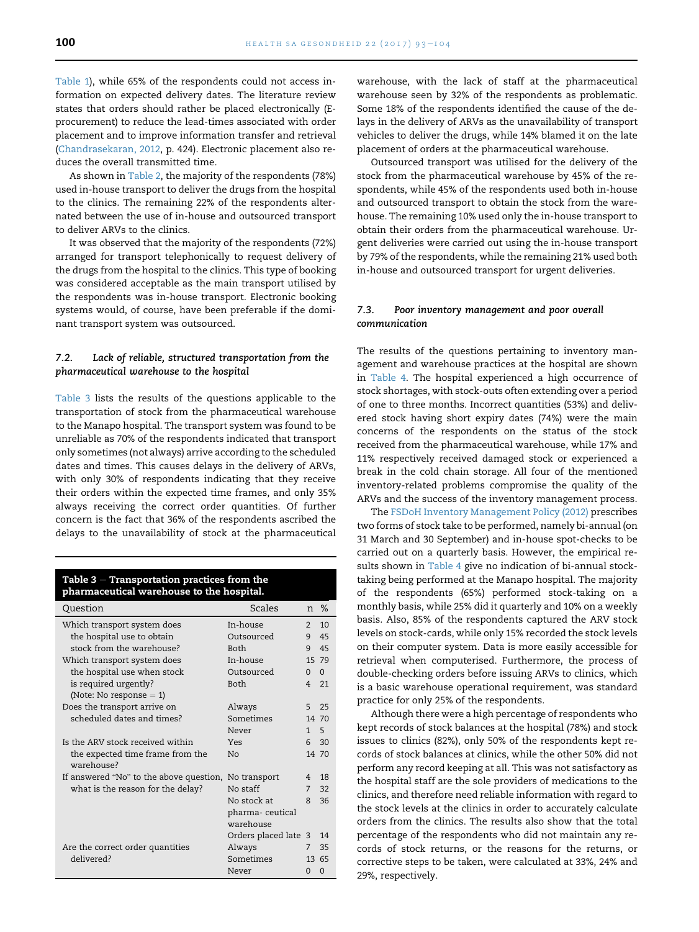[Table 1](#page-6-0)), while 65% of the respondents could not access information on expected delivery dates. The literature review states that orders should rather be placed electronically (Eprocurement) to reduce the lead-times associated with order placement and to improve information transfer and retrieval ([Chandrasekaran, 2012,](#page-11-0) p. 424). Electronic placement also reduces the overall transmitted time.

As shown in [Table 2,](#page-6-0) the majority of the respondents (78%) used in-house transport to deliver the drugs from the hospital to the clinics. The remaining 22% of the respondents alternated between the use of in-house and outsourced transport to deliver ARVs to the clinics.

It was observed that the majority of the respondents (72%) arranged for transport telephonically to request delivery of the drugs from the hospital to the clinics. This type of booking was considered acceptable as the main transport utilised by the respondents was in-house transport. Electronic booking systems would, of course, have been preferable if the dominant transport system was outsourced.

### 7.2. Lack of reliable, structured transportation from the pharmaceutical warehouse to the hospital

Table 3 lists the results of the questions applicable to the transportation of stock from the pharmaceutical warehouse to the Manapo hospital. The transport system was found to be unreliable as 70% of the respondents indicated that transport only sometimes (not always) arrive according to the scheduled dates and times. This causes delays in the delivery of ARVs, with only 30% of respondents indicating that they receive their orders within the expected time frames, and only 35% always receiving the correct order quantities. Of further concern is the fact that 36% of the respondents ascribed the delays to the unavailability of stock at the pharmaceutical

#### Table  $3 -$  Transportation practices from the pharmaceutical warehouse to the hospital.

| Question                                       | <b>Scales</b>        |                | n %      |
|------------------------------------------------|----------------------|----------------|----------|
| Which transport system does                    | In-house             | $\mathfrak{D}$ | 10       |
| the hospital use to obtain                     | Outsourced           | 9              | 45       |
| stock from the warehouse?                      | <b>Both</b>          | 9              | 45       |
| Which transport system does                    | In-house             |                | 15 79    |
| the hospital use when stock                    | Outsourced           | $\Omega$       | $\Omega$ |
| is required urgently?                          | <b>Both</b>          | 4              | 21       |
| (Note: No response $= 1$ )                     |                      |                |          |
| Does the transport arrive on                   | Always               | 5              | 25       |
| scheduled dates and times?                     | Sometimes            |                | 14 70    |
|                                                | Never                | 1              | -5       |
| Is the ARV stock received within               | Yes                  | 6              | 30       |
| the expected time frame from the<br>warehouse? | No                   |                | 14 70    |
| If answered "No" to the above question,        | No transport         | 4              | 18       |
| what is the reason for the delay?              | No staff             | 7              | 32       |
|                                                | No stock at          | 8              | 36       |
|                                                | pharma-ceutical      |                |          |
|                                                | warehouse            |                |          |
|                                                | Orders placed late 3 |                | 14       |
| Are the correct order quantities               | Always               | 7              | 35       |
| delivered?                                     | Sometimes            |                | 13 65    |
|                                                | Never                | $\Omega$       | $\Omega$ |

warehouse, with the lack of staff at the pharmaceutical warehouse seen by 32% of the respondents as problematic. Some 18% of the respondents identified the cause of the delays in the delivery of ARVs as the unavailability of transport vehicles to deliver the drugs, while 14% blamed it on the late placement of orders at the pharmaceutical warehouse.

Outsourced transport was utilised for the delivery of the stock from the pharmaceutical warehouse by 45% of the respondents, while 45% of the respondents used both in-house and outsourced transport to obtain the stock from the warehouse. The remaining 10% used only the in-house transport to obtain their orders from the pharmaceutical warehouse. Urgent deliveries were carried out using the in-house transport by 79% of the respondents, while the remaining 21% used both in-house and outsourced transport for urgent deliveries.

#### 7.3. Poor inventory management and poor overall communication

The results of the questions pertaining to inventory management and warehouse practices at the hospital are shown in [Table 4.](#page-8-0) The hospital experienced a high occurrence of stock shortages, with stock-outs often extending over a period of one to three months. Incorrect quantities (53%) and delivered stock having short expiry dates (74%) were the main concerns of the respondents on the status of the stock received from the pharmaceutical warehouse, while 17% and 11% respectively received damaged stock or experienced a break in the cold chain storage. All four of the mentioned inventory-related problems compromise the quality of the ARVs and the success of the inventory management process.

The [FSDoH Inventory Management Policy \(2012\)](#page-11-0) prescribes two forms of stock take to be performed, namely bi-annual (on 31 March and 30 September) and in-house spot-checks to be carried out on a quarterly basis. However, the empirical results shown in [Table 4](#page-8-0) give no indication of bi-annual stocktaking being performed at the Manapo hospital. The majority of the respondents (65%) performed stock-taking on a monthly basis, while 25% did it quarterly and 10% on a weekly basis. Also, 85% of the respondents captured the ARV stock levels on stock-cards, while only 15% recorded the stock levels on their computer system. Data is more easily accessible for retrieval when computerised. Furthermore, the process of double-checking orders before issuing ARVs to clinics, which is a basic warehouse operational requirement, was standard practice for only 25% of the respondents.

Although there were a high percentage of respondents who kept records of stock balances at the hospital (78%) and stock issues to clinics (82%), only 50% of the respondents kept records of stock balances at clinics, while the other 50% did not perform any record keeping at all. This was not satisfactory as the hospital staff are the sole providers of medications to the clinics, and therefore need reliable information with regard to the stock levels at the clinics in order to accurately calculate orders from the clinics. The results also show that the total percentage of the respondents who did not maintain any records of stock returns, or the reasons for the returns, or corrective steps to be taken, were calculated at 33%, 24% and 29%, respectively.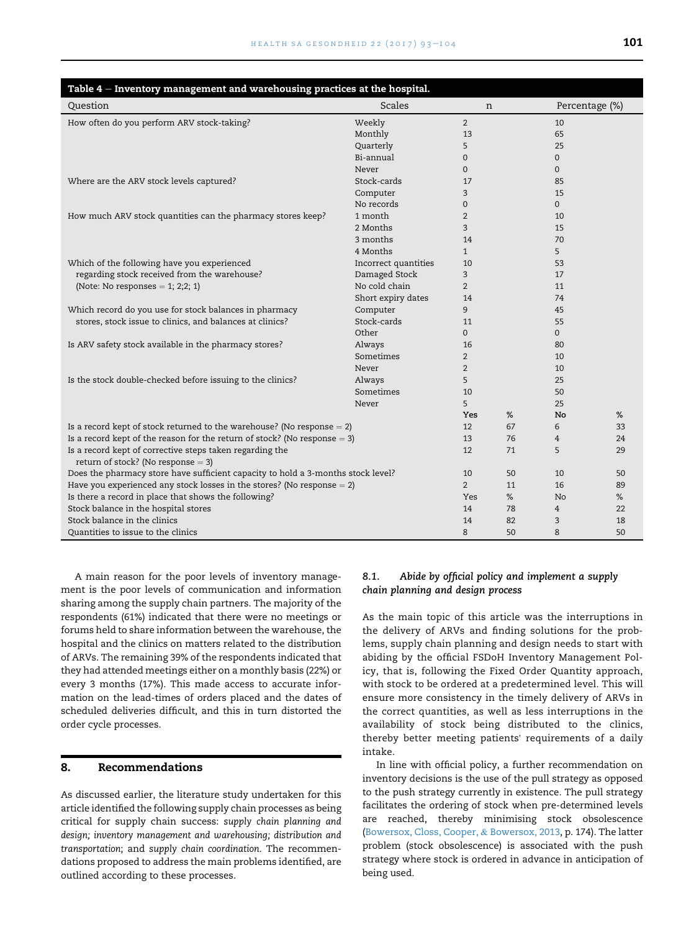<span id="page-8-0"></span>

| Table 4 - Inventory management and warehousing practices at the hospital.                        |                      |                |    |                |                |  |  |
|--------------------------------------------------------------------------------------------------|----------------------|----------------|----|----------------|----------------|--|--|
| Question                                                                                         | <b>Scales</b>        | n              |    |                | Percentage (%) |  |  |
| How often do you perform ARV stock-taking?                                                       | Weekly               | $\overline{2}$ |    | 10             |                |  |  |
|                                                                                                  | Monthly              | 13             |    | 65             |                |  |  |
|                                                                                                  | Quarterly            | 5              |    | 25             |                |  |  |
|                                                                                                  | Bi-annual            | $\mathbf 0$    |    | $\Omega$       |                |  |  |
|                                                                                                  | Never                | $\Omega$       |    | $\Omega$       |                |  |  |
| Where are the ARV stock levels captured?                                                         | Stock-cards          | 17             |    | 85             |                |  |  |
|                                                                                                  | Computer             | 3              |    | 15             |                |  |  |
|                                                                                                  | No records           | $\mathbf{0}$   |    | $\Omega$       |                |  |  |
| How much ARV stock quantities can the pharmacy stores keep?                                      | 1 month              | 2              |    | 10             |                |  |  |
|                                                                                                  | 2 Months             | 3              |    | 15             |                |  |  |
|                                                                                                  | 3 months             | 14             |    | 70             |                |  |  |
|                                                                                                  | 4 Months             | $\mathbf{1}$   |    | 5              |                |  |  |
| Which of the following have you experienced                                                      | Incorrect quantities | 10             |    | 53             |                |  |  |
| regarding stock received from the warehouse?                                                     | Damaged Stock        | 3              |    | 17             |                |  |  |
| (Note: No responses $= 1$ ; 2;2; 1)                                                              | No cold chain        | $\overline{2}$ |    | 11             |                |  |  |
|                                                                                                  | Short expiry dates   | 14             |    | 74             |                |  |  |
| Which record do you use for stock balances in pharmacy                                           | Computer             | 9              |    | 45             |                |  |  |
| stores, stock issue to clinics, and balances at clinics?                                         | Stock-cards          | 11             |    | 55             |                |  |  |
|                                                                                                  | Other                | $\Omega$       |    | $\Omega$       |                |  |  |
| Is ARV safety stock available in the pharmacy stores?                                            | Always               | 16             |    | 80             |                |  |  |
|                                                                                                  | Sometimes            | $\overline{2}$ |    | 10             |                |  |  |
|                                                                                                  | Never                | 2              |    | 10             |                |  |  |
| Is the stock double-checked before issuing to the clinics?                                       | Always               | 5              |    | 25             |                |  |  |
|                                                                                                  | Sometimes            | 10             |    | 50             |                |  |  |
|                                                                                                  | Never                | 5              |    | 25             |                |  |  |
|                                                                                                  |                      | Yes            | %  | No             | %              |  |  |
| Is a record kept of stock returned to the warehouse? (No response $= 2$ )                        |                      | 12             | 67 | 6              | 33             |  |  |
| Is a record kept of the reason for the return of stock? (No response $= 3$ )                     |                      | 13             | 76 | 4              | 24             |  |  |
| Is a record kept of corrective steps taken regarding the<br>return of stock? (No response $=$ 3) |                      | 12             | 71 | 5              | 29             |  |  |
| Does the pharmacy store have sufficient capacity to hold a 3-months stock level?                 |                      | 10             | 50 | 10             | 50             |  |  |
| Have you experienced any stock losses in the stores? (No response $= 2$ )                        |                      | $\overline{2}$ | 11 | 16             | 89             |  |  |
| Is there a record in place that shows the following?                                             |                      | Yes            | %  | N <sub>o</sub> | %              |  |  |
| Stock balance in the hospital stores                                                             |                      | 14             | 78 | 4              | 22             |  |  |
| Stock balance in the clinics                                                                     |                      | 14             | 82 | 3              | 18             |  |  |
| Quantities to issue to the clinics                                                               |                      | 8              | 50 | 8              | 50             |  |  |

A main reason for the poor levels of inventory management is the poor levels of communication and information sharing among the supply chain partners. The majority of the respondents (61%) indicated that there were no meetings or forums held to share information between the warehouse, the hospital and the clinics on matters related to the distribution of ARVs. The remaining 39% of the respondents indicated that they had attended meetings either on a monthly basis (22%) or every 3 months (17%). This made access to accurate information on the lead-times of orders placed and the dates of scheduled deliveries difficult, and this in turn distorted the order cycle processes.

#### 8. Recommendations

As discussed earlier, the literature study undertaken for this article identified the following supply chain processes as being critical for supply chain success: supply chain planning and design; inventory management and warehousing; distribution and transportation; and supply chain coordination. The recommendations proposed to address the main problems identified, are outlined according to these processes.

#### 8.1. Abide by official policy and implement a supply chain planning and design process

As the main topic of this article was the interruptions in the delivery of ARVs and finding solutions for the problems, supply chain planning and design needs to start with abiding by the official FSDoH Inventory Management Policy, that is, following the Fixed Order Quantity approach, with stock to be ordered at a predetermined level. This will ensure more consistency in the timely delivery of ARVs in the correct quantities, as well as less interruptions in the availability of stock being distributed to the clinics, thereby better meeting patients' requirements of a daily intake.

In line with official policy, a further recommendation on inventory decisions is the use of the pull strategy as opposed to the push strategy currently in existence. The pull strategy facilitates the ordering of stock when pre-determined levels are reached, thereby minimising stock obsolescence [\(Bowersox, Closs, Cooper,](#page-11-0) & [Bowersox, 2013](#page-11-0), p. 174). The latter problem (stock obsolescence) is associated with the push strategy where stock is ordered in advance in anticipation of being used.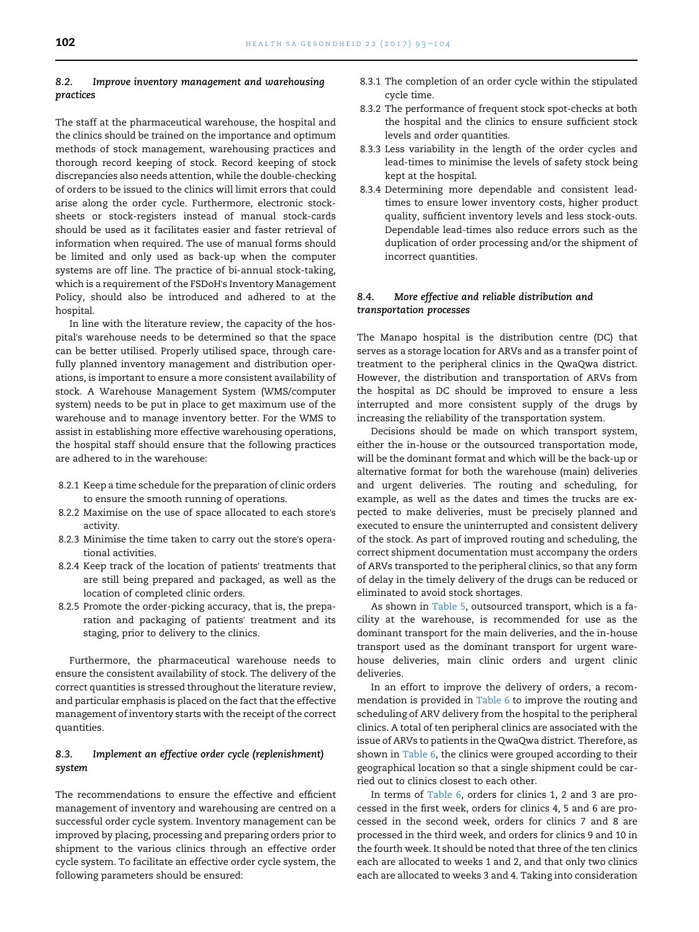#### 8.2. Improve inventory management and warehousing practices

The staff at the pharmaceutical warehouse, the hospital and the clinics should be trained on the importance and optimum methods of stock management, warehousing practices and thorough record keeping of stock. Record keeping of stock discrepancies also needs attention, while the double-checking of orders to be issued to the clinics will limit errors that could arise along the order cycle. Furthermore, electronic stocksheets or stock-registers instead of manual stock-cards should be used as it facilitates easier and faster retrieval of information when required. The use of manual forms should be limited and only used as back-up when the computer systems are off line. The practice of bi-annual stock-taking, which is a requirement of the FSDoH's Inventory Management Policy, should also be introduced and adhered to at the hospital.

In line with the literature review, the capacity of the hospital's warehouse needs to be determined so that the space can be better utilised. Properly utilised space, through carefully planned inventory management and distribution operations, is important to ensure a more consistent availability of stock. A Warehouse Management System (WMS/computer system) needs to be put in place to get maximum use of the warehouse and to manage inventory better. For the WMS to assist in establishing more effective warehousing operations, the hospital staff should ensure that the following practices are adhered to in the warehouse:

- 8.2.1 Keep a time schedule for the preparation of clinic orders to ensure the smooth running of operations.
- 8.2.2 Maximise on the use of space allocated to each store's activity.
- 8.2.3 Minimise the time taken to carry out the store's operational activities.
- 8.2.4 Keep track of the location of patients' treatments that are still being prepared and packaged, as well as the location of completed clinic orders.
- 8.2.5 Promote the order-picking accuracy, that is, the preparation and packaging of patients' treatment and its staging, prior to delivery to the clinics.

Furthermore, the pharmaceutical warehouse needs to ensure the consistent availability of stock. The delivery of the correct quantities is stressed throughout the literature review, and particular emphasis is placed on the fact that the effective management of inventory starts with the receipt of the correct quantities.

### 8.3. Implement an effective order cycle (replenishment) system

The recommendations to ensure the effective and efficient management of inventory and warehousing are centred on a successful order cycle system. Inventory management can be improved by placing, processing and preparing orders prior to shipment to the various clinics through an effective order cycle system. To facilitate an effective order cycle system, the following parameters should be ensured:

- 8.3.1 The completion of an order cycle within the stipulated cycle time.
- 8.3.2 The performance of frequent stock spot-checks at both the hospital and the clinics to ensure sufficient stock levels and order quantities.
- 8.3.3 Less variability in the length of the order cycles and lead-times to minimise the levels of safety stock being kept at the hospital.
- 8.3.4 Determining more dependable and consistent leadtimes to ensure lower inventory costs, higher product quality, sufficient inventory levels and less stock-outs. Dependable lead-times also reduce errors such as the duplication of order processing and/or the shipment of incorrect quantities.

# 8.4. More effective and reliable distribution and transportation processes

The Manapo hospital is the distribution centre (DC) that serves as a storage location for ARVs and as a transfer point of treatment to the peripheral clinics in the QwaQwa district. However, the distribution and transportation of ARVs from the hospital as DC should be improved to ensure a less interrupted and more consistent supply of the drugs by increasing the reliability of the transportation system.

Decisions should be made on which transport system, either the in-house or the outsourced transportation mode, will be the dominant format and which will be the back-up or alternative format for both the warehouse (main) deliveries and urgent deliveries. The routing and scheduling, for example, as well as the dates and times the trucks are expected to make deliveries, must be precisely planned and executed to ensure the uninterrupted and consistent delivery of the stock. As part of improved routing and scheduling, the correct shipment documentation must accompany the orders of ARVs transported to the peripheral clinics, so that any form of delay in the timely delivery of the drugs can be reduced or eliminated to avoid stock shortages.

As shown in [Table 5,](#page-10-0) outsourced transport, which is a facility at the warehouse, is recommended for use as the dominant transport for the main deliveries, and the in-house transport used as the dominant transport for urgent warehouse deliveries, main clinic orders and urgent clinic deliveries.

In an effort to improve the delivery of orders, a recommendation is provided in [Table 6](#page-10-0) to improve the routing and scheduling of ARV delivery from the hospital to the peripheral clinics. A total of ten peripheral clinics are associated with the issue of ARVs to patients in the QwaQwa district. Therefore, as shown in [Table 6](#page-10-0), the clinics were grouped according to their geographical location so that a single shipment could be carried out to clinics closest to each other.

In terms of [Table 6](#page-10-0), orders for clinics 1, 2 and 3 are processed in the first week, orders for clinics 4, 5 and 6 are processed in the second week, orders for clinics 7 and 8 are processed in the third week, and orders for clinics 9 and 10 in the fourth week. It should be noted that three of the ten clinics each are allocated to weeks 1 and 2, and that only two clinics each are allocated to weeks 3 and 4. Taking into consideration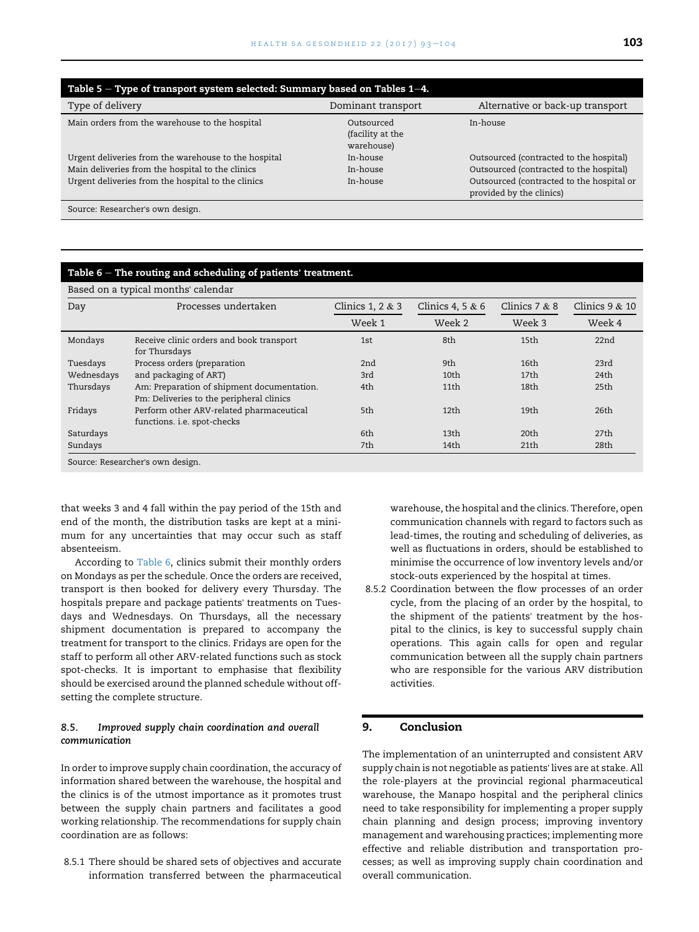<span id="page-10-0"></span>

| Table 5 - Type of transport system selected: Summary based on Tables 1-4. |                                              |                                                                       |  |  |  |
|---------------------------------------------------------------------------|----------------------------------------------|-----------------------------------------------------------------------|--|--|--|
| Type of delivery                                                          | Dominant transport                           | Alternative or back-up transport                                      |  |  |  |
| Main orders from the warehouse to the hospital                            | Outsourced<br>(facility at the<br>warehouse) | In-house                                                              |  |  |  |
| Urgent deliveries from the warehouse to the hospital                      | In-house                                     | Outsourced (contracted to the hospital)                               |  |  |  |
| Main deliveries from the hospital to the clinics                          | In-house                                     | Outsourced (contracted to the hospital)                               |  |  |  |
| Urgent deliveries from the hospital to the clinics                        | In-house                                     | Outsourced (contracted to the hospital or<br>provided by the clinics) |  |  |  |

Source: Researcher's own design.

#### Table  $6$  – The routing and scheduling of patients' treatment.

| Based on a typical months' calendar |                                                                                        |                    |                     |                  |                  |  |
|-------------------------------------|----------------------------------------------------------------------------------------|--------------------|---------------------|------------------|------------------|--|
| Day                                 | Processes undertaken                                                                   | Clinics 1, 2 $&$ 3 | Clinics 4, 5 $\&$ 6 | Clinics $7 & 8$  | Clinics $9 & 10$ |  |
|                                     |                                                                                        | Week 1             | Week 2              | Week 3           | Week 4           |  |
| Mondays                             | Receive clinic orders and book transport<br>for Thursdays                              | 1st                | 8th                 | 15th             | 22nd             |  |
| Tuesdays                            | Process orders (preparation                                                            | 2nd                | 9th                 | 16 <sub>th</sub> | 23rd             |  |
| Wednesdays                          | and packaging of ART)                                                                  | 3rd                | 10 <sub>th</sub>    | 17 <sub>th</sub> | 24 <sub>th</sub> |  |
| Thursdays                           | Am: Preparation of shipment documentation.<br>Pm: Deliveries to the peripheral clinics | 4th                | 11th                | 18th             | 25th             |  |
| Fridays                             | Perform other ARV-related pharmaceutical<br>functions. i.e. spot-checks                | 5th                | 12th                | 19th             | 26th             |  |
| Saturdays                           |                                                                                        | 6th                | 13th                | 20 <sub>th</sub> | 27 <sub>th</sub> |  |
| Sundays                             |                                                                                        | 7th                | 14th                | 21 <sub>th</sub> | 28th             |  |
| Source: Researcher's own design.    |                                                                                        |                    |                     |                  |                  |  |

that weeks 3 and 4 fall within the pay period of the 15th and end of the month, the distribution tasks are kept at a minimum for any uncertainties that may occur such as staff absenteeism.

According to Table 6, clinics submit their monthly orders on Mondays as per the schedule. Once the orders are received, transport is then booked for delivery every Thursday. The hospitals prepare and package patients' treatments on Tuesdays and Wednesdays. On Thursdays, all the necessary shipment documentation is prepared to accompany the treatment for transport to the clinics. Fridays are open for the staff to perform all other ARV-related functions such as stock spot-checks. It is important to emphasise that flexibility should be exercised around the planned schedule without offsetting the complete structure.

# 8.5. Improved supply chain coordination and overall communication

In order to improve supply chain coordination, the accuracy of information shared between the warehouse, the hospital and the clinics is of the utmost importance as it promotes trust between the supply chain partners and facilitates a good working relationship. The recommendations for supply chain coordination are as follows:

8.5.1 There should be shared sets of objectives and accurate information transferred between the pharmaceutical

warehouse, the hospital and the clinics. Therefore, open communication channels with regard to factors such as lead-times, the routing and scheduling of deliveries, as well as fluctuations in orders, should be established to minimise the occurrence of low inventory levels and/or stock-outs experienced by the hospital at times.

8.5.2 Coordination between the flow processes of an order cycle, from the placing of an order by the hospital, to the shipment of the patients' treatment by the hospital to the clinics, is key to successful supply chain operations. This again calls for open and regular communication between all the supply chain partners who are responsible for the various ARV distribution activities.

# 9. Conclusion

The implementation of an uninterrupted and consistent ARV supply chain is not negotiable as patients' lives are at stake. All the role-players at the provincial regional pharmaceutical warehouse, the Manapo hospital and the peripheral clinics need to take responsibility for implementing a proper supply chain planning and design process; improving inventory management and warehousing practices; implementing more effective and reliable distribution and transportation processes; as well as improving supply chain coordination and overall communication.